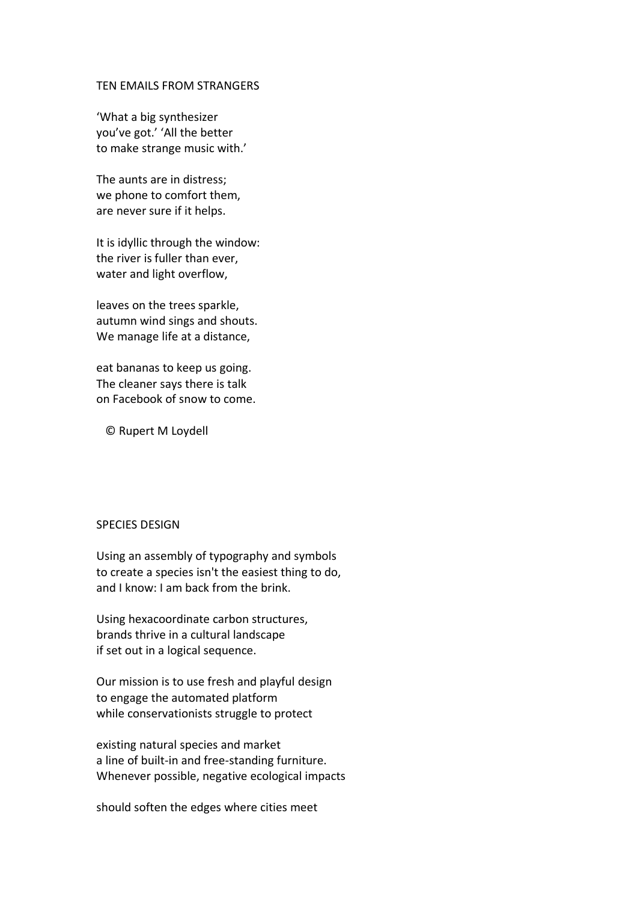## TEN EMAILS FROM STRANGERS

'What a big synthesizer you've got.' 'All the better to make strange music with.'

The aunts are in distress; we phone to comfort them, are never sure if it helps.

It is idyllic through the window: the river is fuller than ever, water and light overflow,

leaves on the trees sparkle, autumn wind sings and shouts. We manage life at a distance,

eat bananas to keep us going. The cleaner says there is talk on Facebook of snow to come.

© Rupert M Loydell

## SPECIES DESIGN

Using an assembly of typography and symbols to create a species isn't the easiest thing to do, and I know: I am back from the brink.

Using hexacoordinate carbon structures, brands thrive in a cultural landscape if set out in a logical sequence.

Our mission is to use fresh and playful design to engage the automated platform while conservationists struggle to protect

existing natural species and market a line of built-in and free-standing furniture. Whenever possible, negative ecological impacts

should soften the edges where cities meet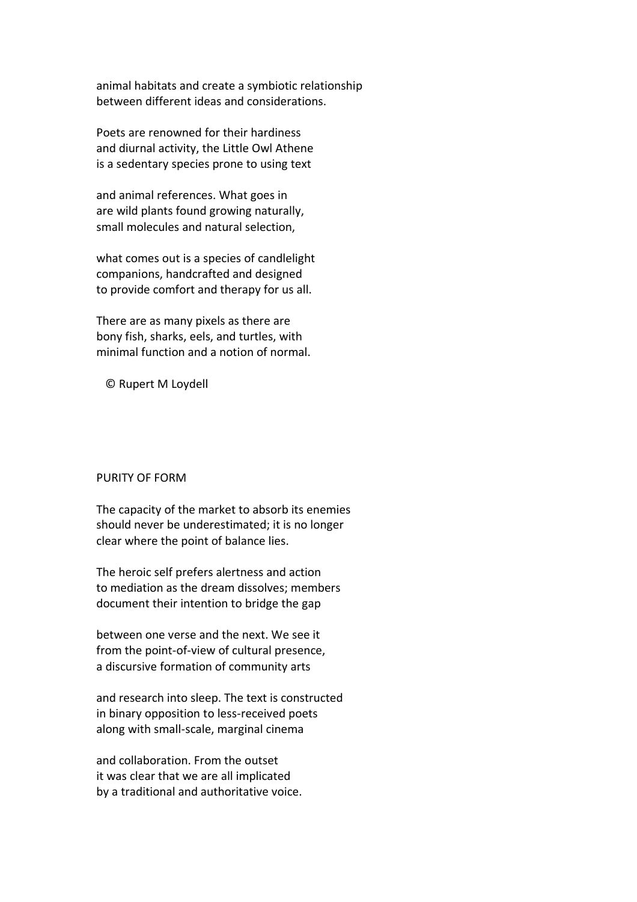animal habitats and create a symbiotic relationship between different ideas and considerations.

Poets are renowned for their hardiness and diurnal activity, the Little Owl Athene is a sedentary species prone to using text

and animal references. What goes in are wild plants found growing naturally, small molecules and natural selection,

what comes out is a species of candlelight companions, handcrafted and designed to provide comfort and therapy for us all.

There are as many pixels as there are bony fish, sharks, eels, and turtles, with minimal function and a notion of normal.

© Rupert M Loydell

## PURITY OF FORM

The capacity of the market to absorb its enemies should never be underestimated; it is no longer clear where the point of balance lies.

The heroic self prefers alertness and action to mediation as the dream dissolves; members document their intention to bridge the gap

between one verse and the next. We see it from the point-of-view of cultural presence, a discursive formation of community arts

and research into sleep. The text is constructed in binary opposition to less-received poets along with small-scale, marginal cinema

and collaboration. From the outset it was clear that we are all implicated by a traditional and authoritative voice.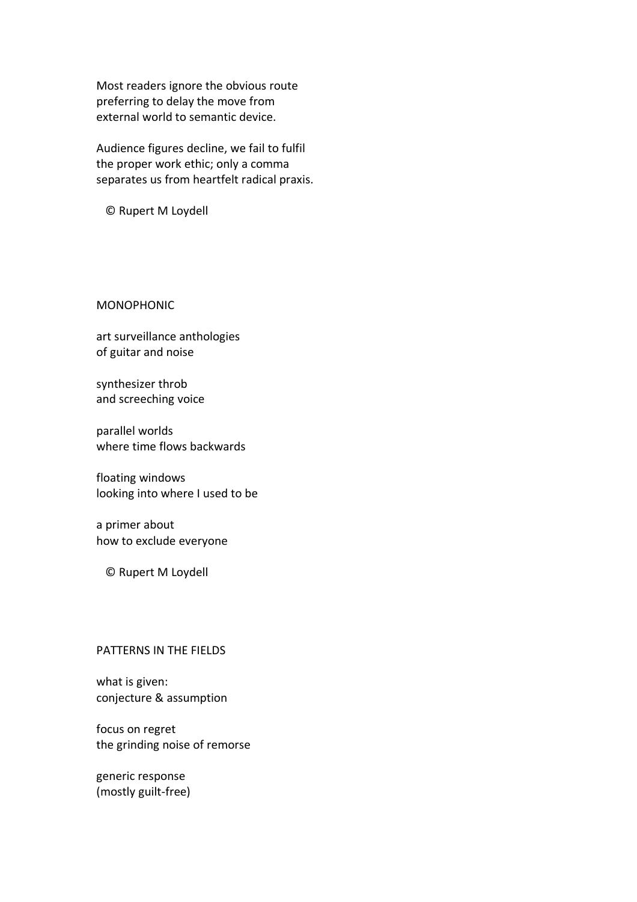Most readers ignore the obvious route preferring to delay the move from external world to semantic device.

Audience figures decline, we fail to fulfil the proper work ethic; only a comma separates us from heartfelt radical praxis.

© Rupert M Loydell

MONOPHONIC

art surveillance anthologies of guitar and noise

synthesizer throb and screeching voice

parallel worlds where time flows backwards

floating windows looking into where I used to be

a primer about how to exclude everyone

© Rupert M Loydell

## PATTERNS IN THE FIELDS

what is given: conjecture & assumption

focus on regret the grinding noise of remorse

generic response (mostly guilt-free)